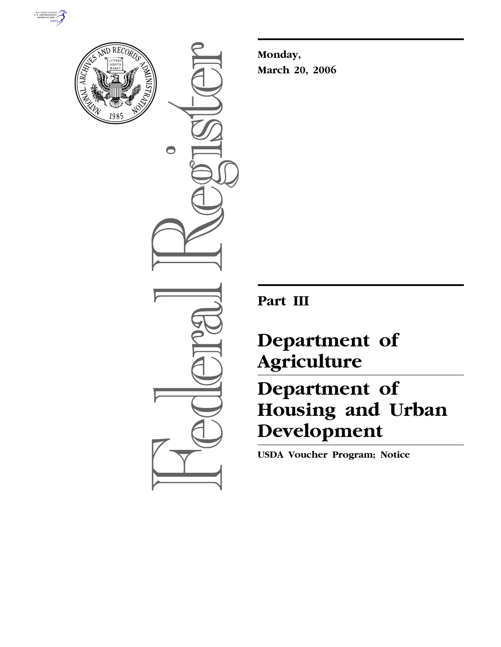



 $\bigcirc$ 

**Monday, March 20, 2006** 

**Part III** 

## **Department of Agriculture**

# **Department of Housing and Urban Development**

**USDA Voucher Program; Notice**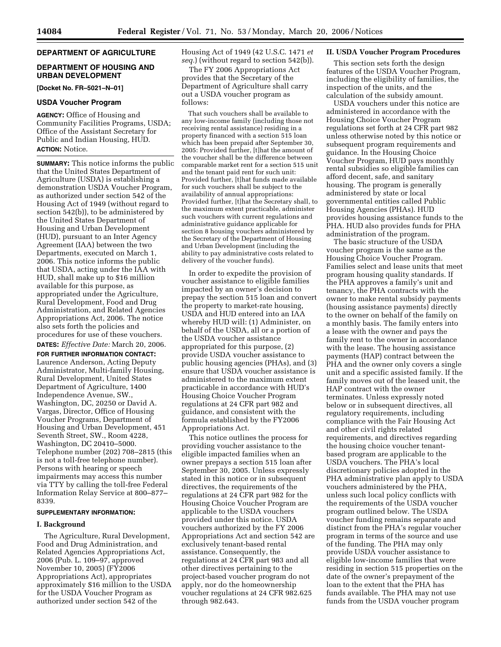## **DEPARTMENT OF AGRICULTURE**

## **DEPARTMENT OF HOUSING AND URBAN DEVELOPMENT**

**[Docket No. FR–5021–N–01]** 

## **USDA Voucher Program**

**AGENCY:** Office of Housing and Community Facilities Programs, USDA; Office of the Assistant Secretary for Public and Indian Housing, HUD. **ACTION:** Notice.

**SUMMARY:** This notice informs the public that the United States Department of Agriculture (USDA) is establishing a demonstration USDA Voucher Program, as authorized under section 542 of the Housing Act of 1949 (without regard to section 542(b)), to be administered by the United States Department of Housing and Urban Development (HUD), pursuant to an Inter Agency Agreement (IAA) between the two Departments, executed on March 1, 2006. This notice informs the public that USDA, acting under the IAA with HUD, shall make up to \$16 million available for this purpose, as appropriated under the Agriculture, Rural Development, Food and Drug Administration, and Related Agencies Appropriations Act, 2006. The notice also sets forth the policies and procedures for use of these vouchers. **DATES:** *Effective Date:* March 20, 2006.

**FOR FURTHER INFORMATION CONTACT:**  Laurence Anderson, Acting Deputy Administrator, Multi-family Housing, Rural Development, United States Department of Agriculture, 1400 Independence Avenue, SW., Washington, DC, 20250 or David A. Vargas, Director, Office of Housing Voucher Programs, Department of Housing and Urban Development, 451 Seventh Street, SW., Room 4228, Washington, DC 20410–5000. Telephone number (202) 708–2815 (this is not a toll-free telephone number). Persons with hearing or speech impairments may access this number via TTY by calling the toll-free Federal Information Relay Service at 800–877– 8339.

### **SUPPLEMENTARY INFORMATION:**

## **I. Background**

The Agriculture, Rural Development, Food and Drug Administration, and Related Agencies Appropriations Act, 2006 (Pub. L. 109–97, approved November 10, 2005) (FY2006 Appropriations Act), appropriates approximately \$16 million to the USDA for the USDA Voucher Program as authorized under section 542 of the

Housing Act of 1949 (42 U.S.C. 1471 *et seq.*) (without regard to section 542(b)).

The FY 2006 Appropriations Act provides that the Secretary of the Department of Agriculture shall carry out a USDA voucher program as follows:

That such vouchers shall be available to any low-income family (including those not receiving rental assistance) residing in a property financed with a section 515 loan which has been prepaid after September 30, 2005: Provided further, [t]hat the amount of the voucher shall be the difference between comparable market rent for a section 515 unit and the tenant paid rent for such unit: Provided further, [t]hat funds made available for such vouchers shall be subject to the availability of annual appropriations: Provided further, [t]hat the Secretary shall, to the maximum extent practicable, administer such vouchers with current regulations and administrative guidance applicable for section 8 housing vouchers administered by the Secretary of the Department of Housing and Urban Development (including the ability to pay administrative costs related to delivery of the voucher funds).

In order to expedite the provision of voucher assistance to eligible families impacted by an owner's decision to prepay the section 515 loan and convert the property to market-rate housing, USDA and HUD entered into an IAA whereby HUD will: (1) Administer, on behalf of the USDA, all or a portion of the USDA voucher assistance appropriated for this purpose, (2) provide USDA voucher assistance to public housing agencies (PHAs), and (3) ensure that USDA voucher assistance is administered to the maximum extent practicable in accordance with HUD's Housing Choice Voucher Program regulations at 24 CFR part 982 and guidance, and consistent with the formula established by the FY2006 Appropriations Act.

This notice outlines the process for providing voucher assistance to the eligible impacted families when an owner prepays a section 515 loan after September 30, 2005. Unless expressly stated in this notice or in subsequent directives, the requirements of the regulations at 24 CFR part 982 for the Housing Choice Voucher Program are applicable to the USDA vouchers provided under this notice. USDA vouchers authorized by the FY 2006 Appropriations Act and section 542 are exclusively tenant-based rental assistance. Consequently, the regulations at 24 CFR part 983 and all other directives pertaining to the project-based voucher program do not apply, nor do the homeownership voucher regulations at 24 CFR 982.625 through 982.643.

#### **II. USDA Voucher Program Procedures**

This section sets forth the design features of the USDA Voucher Program, including the eligibility of families, the inspection of the units, and the calculation of the subsidy amount.

USDA vouchers under this notice are administered in accordance with the Housing Choice Voucher Program regulations set forth at 24 CFR part 982 unless otherwise noted by this notice or subsequent program requirements and guidance. In the Housing Choice Voucher Program, HUD pays monthly rental subsidies so eligible families can afford decent, safe, and sanitary housing. The program is generally administered by state or local governmental entities called Public Housing Agencies (PHAs). HUD provides housing assistance funds to the PHA. HUD also provides funds for PHA administration of the program.

The basic structure of the USDA voucher program is the same as the Housing Choice Voucher Program. Families select and lease units that meet program housing quality standards. If the PHA approves a family's unit and tenancy, the PHA contracts with the owner to make rental subsidy payments (housing assistance payments) directly to the owner on behalf of the family on a monthly basis. The family enters into a lease with the owner and pays the family rent to the owner in accordance with the lease. The housing assistance payments (HAP) contract between the PHA and the owner only covers a single unit and a specific assisted family. If the family moves out of the leased unit, the HAP contract with the owner terminates. Unless expressly noted below or in subsequent directives, all regulatory requirements, including compliance with the Fair Housing Act and other civil rights related requirements, and directives regarding the housing choice voucher tenantbased program are applicable to the USDA vouchers. The PHA's local discretionary policies adopted in the PHA administrative plan apply to USDA vouchers administered by the PHA, unless such local policy conflicts with the requirements of the USDA voucher program outlined below. The USDA voucher funding remains separate and distinct from the PHA's regular voucher program in terms of the source and use of the funding. The PHA may only provide USDA voucher assistance to eligible low-income families that were residing in section 515 properties on the date of the owner's prepayment of the loan to the extent that the PHA has funds available. The PHA may not use funds from the USDA voucher program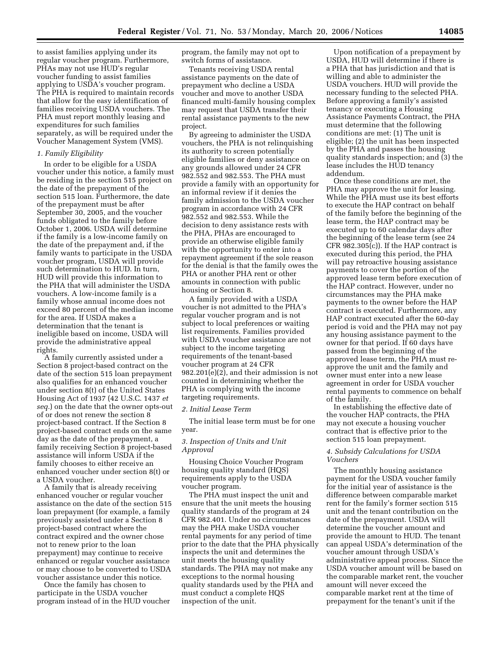to assist families applying under its regular voucher program. Furthermore, PHAs may not use HUD's regular voucher funding to assist families applying to USDA's voucher program. The PHA is required to maintain records that allow for the easy identification of families receiving USDA vouchers. The PHA must report monthly leasing and expenditures for such families separately, as will be required under the Voucher Management System (VMS).

## *1. Family Eligibility*

In order to be eligible for a USDA voucher under this notice, a family must be residing in the section 515 project on the date of the prepayment of the section 515 loan. Furthermore, the date of the prepayment must be after September 30, 2005, and the voucher funds obligated to the family before October 1, 2006. USDA will determine if the family is a low-income family on the date of the prepayment and, if the family wants to participate in the USDA voucher program, USDA will provide such determination to HUD. In turn, HUD will provide this information to the PHA that will administer the USDA vouchers. A low-income family is a family whose annual income does not exceed 80 percent of the median income for the area. If USDA makes a determination that the tenant is ineligible based on income, USDA will provide the administrative appeal rights.

A family currently assisted under a Section 8 project-based contract on the date of the section 515 loan prepayment also qualifies for an enhanced voucher under section 8(t) of the United States Housing Act of 1937 (42 U.S.C. 1437 *et seq.*) on the date that the owner opts-out of or does not renew the section 8 project-based contract. If the Section 8 project-based contract ends on the same day as the date of the prepayment, a family receiving Section 8 project-based assistance will inform USDA if the family chooses to either receive an enhanced voucher under section 8(t) or a USDA voucher.

A family that is already receiving enhanced voucher or regular voucher assistance on the date of the section 515 loan prepayment (for example, a family previously assisted under a Section 8 project-based contract where the contract expired and the owner chose not to renew prior to the loan prepayment) may continue to receive enhanced or regular voucher assistance or may choose to be converted to USDA voucher assistance under this notice.

Once the family has chosen to participate in the USDA voucher program instead of in the HUD voucher program, the family may not opt to switch forms of assistance.

Tenants receiving USDA rental assistance payments on the date of prepayment who decline a USDA voucher and move to another USDA financed multi-family housing complex may request that USDA transfer their rental assistance payments to the new project.

By agreeing to administer the USDA vouchers, the PHA is not relinquishing its authority to screen potentially eligible families or deny assistance on any grounds allowed under 24 CFR 982.552 and 982.553. The PHA must provide a family with an opportunity for an informal review if it denies the family admission to the USDA voucher program in accordance with 24 CFR 982.552 and 982.553. While the decision to deny assistance rests with the PHA, PHAs are encouraged to provide an otherwise eligible family with the opportunity to enter into a repayment agreement if the sole reason for the denial is that the family owes the PHA or another PHA rent or other amounts in connection with public housing or Section 8.

A family provided with a USDA voucher is not admitted to the PHA's regular voucher program and is not subject to local preferences or waiting list requirements. Families provided with USDA voucher assistance are not subject to the income targeting requirements of the tenant-based voucher program at 24 CFR 982.201(e)(2), and their admission is not counted in determining whether the PHA is complying with the income targeting requirements.

#### *2. Initial Lease Term*

The initial lease term must be for one year.

## *3. Inspection of Units and Unit Approval*

Housing Choice Voucher Program housing quality standard (HQS) requirements apply to the USDA voucher program.

The PHA must inspect the unit and ensure that the unit meets the housing quality standards of the program at 24 CFR 982.401. Under no circumstances may the PHA make USDA voucher rental payments for any period of time prior to the date that the PHA physically inspects the unit and determines the unit meets the housing quality standards. The PHA may not make any exceptions to the normal housing quality standards used by the PHA and must conduct a complete HQS inspection of the unit.

Upon notification of a prepayment by USDA, HUD will determine if there is a PHA that has jurisdiction and that is willing and able to administer the USDA vouchers. HUD will provide the necessary funding to the selected PHA. Before approving a family's assisted tenancy or executing a Housing Assistance Payments Contract, the PHA must determine that the following conditions are met: (1) The unit is eligible; (2) the unit has been inspected by the PHA and passes the housing quality standards inspection; and (3) the lease includes the HUD tenancy addendum.

Once these conditions are met, the PHA may approve the unit for leasing. While the PHA must use its best efforts to execute the HAP contract on behalf of the family before the beginning of the lease term, the HAP contract may be executed up to 60 calendar days after the beginning of the lease term (see 24  $CFR 982.305(c)$ . If the HAP contract is executed during this period, the PHA will pay retroactive housing assistance payments to cover the portion of the approved lease term before execution of the HAP contract. However, under no circumstances may the PHA make payments to the owner before the HAP contract is executed. Furthermore, any HAP contract executed after the 60-day period is void and the PHA may not pay any housing assistance payment to the owner for that period. If 60 days have passed from the beginning of the approved lease term, the PHA must reapprove the unit and the family and owner must enter into a new lease agreement in order for USDA voucher rental payments to commence on behalf of the family.

In establishing the effective date of the voucher HAP contracts, the PHA may not execute a housing voucher contract that is effective prior to the section 515 loan prepayment.

#### *4. Subsidy Calculations for USDA Vouchers*

The monthly housing assistance payment for the USDA voucher family for the initial year of assistance is the difference between comparable market rent for the family's former section 515 unit and the tenant contribution on the date of the prepayment. USDA will determine the voucher amount and provide the amount to HUD. The tenant can appeal USDA's determination of the voucher amount through USDA's administrative appeal process. Since the USDA voucher amount will be based on the comparable market rent, the voucher amount will never exceed the comparable market rent at the time of prepayment for the tenant's unit if the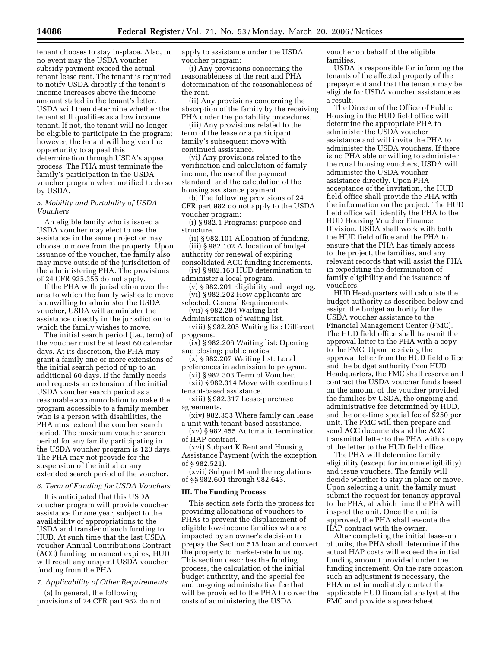tenant chooses to stay in-place. Also, in no event may the USDA voucher subsidy payment exceed the actual tenant lease rent. The tenant is required to notify USDA directly if the tenant's income increases above the income amount stated in the tenant's letter. USDA will then determine whether the tenant still qualifies as a low income tenant. If not, the tenant will no longer be eligible to participate in the program; however, the tenant will be given the opportunity to appeal this determination through USDA's appeal process. The PHA must terminate the family's participation in the USDA voucher program when notified to do so by USDA.

## *5. Mobility and Portability of USDA Vouchers*

An eligible family who is issued a USDA voucher may elect to use the assistance in the same project or may choose to move from the property. Upon issuance of the voucher, the family also may move outside of the jurisdiction of the administering PHA. The provisions of 24 CFR 925.355 do not apply.

If the PHA with jurisdiction over the area to which the family wishes to move is unwilling to administer the USDA voucher, USDA will administer the assistance directly in the jurisdiction to which the family wishes to move.

The initial search period (i.e., term) of the voucher must be at least 60 calendar days. At its discretion, the PHA may grant a family one or more extensions of the initial search period of up to an additional 60 days. If the family needs and requests an extension of the initial USDA voucher search period as a reasonable accommodation to make the program accessible to a family member who is a person with disabilities, the PHA must extend the voucher search period. The maximum voucher search period for any family participating in the USDA voucher program is 120 days. The PHA may not provide for the suspension of the initial or any extended search period of the voucher.

## *6. Term of Funding for USDA Vouchers*

It is anticipated that this USDA voucher program will provide voucher assistance for one year, subject to the availability of appropriations to the USDA and transfer of such funding to HUD. At such time that the last USDA voucher Annual Contributions Contract (ACC) funding increment expires, HUD will recall any unspent USDA voucher funding from the PHA.

#### *7. Applicability of Other Requirements*

(a) In general, the following provisions of 24 CFR part 982 do not apply to assistance under the USDA voucher program:

(i) Any provisions concerning the reasonableness of the rent and PHA determination of the reasonableness of the rent.

(ii) Any provisions concerning the absorption of the family by the receiving PHA under the portability procedures.

(iii) Any provisions related to the term of the lease or a participant family's subsequent move with continued assistance.

(vi) Any provisions related to the verification and calculation of family income, the use of the payment standard, and the calculation of the housing assistance payment.

(b) The following provisions of 24 CFR part 982 do not apply to the USDA voucher program:

(i) § 982.1 Programs: purpose and structure.

(ii) § 982.101 Allocation of funding. (iii) § 982.102 Allocation of budget authority for renewal of expiring consolidated ACC funding increments.

(iv) § 982.160 HUD determination to administer a local program.

(v) § 982.201 Eligibility and targeting. (vi) § 982.202 How applicants are

selected: General Requirements. (vii) § 982.204 Waiting list:

Administration of waiting list. (viii) § 982.205 Waiting list: Different programs.

(ix) § 982.206 Waiting list: Opening and closing; public notice.

(x) § 982.207 Waiting list: Local preferences in admission to program.

(xi) § 982.303 Term of Voucher. (xii) § 982.314 Move with continued

tenant-based assistance.

(xiii) § 982.317 Lease-purchase agreements.

(xiv) 982.353 Where family can lease a unit with tenant-based assistance.

(xv) § 982.455 Automatic termination of HAP contract.

(xvi) Subpart K Rent and Housing Assistance Payment (with the exception of § 982.521).

(xvii) Subpart M and the regulations of §§ 982.601 through 982.643.

#### **III. The Funding Process**

This section sets forth the process for providing allocations of vouchers to PHAs to prevent the displacement of eligible low-income families who are impacted by an owner's decision to prepay the Section 515 loan and convert the property to market-rate housing. This section describes the funding process, the calculation of the initial budget authority, and the special fee and on-going administrative fee that will be provided to the PHA to cover the costs of administering the USDA

voucher on behalf of the eligible families.

USDA is responsible for informing the tenants of the affected property of the prepayment and that the tenants may be eligible for USDA voucher assistance as a result.

The Director of the Office of Public Housing in the HUD field office will determine the appropriate PHA to administer the USDA voucher assistance and will invite the PHA to administer the USDA vouchers. If there is no PHA able or willing to administer the rural housing vouchers, USDA will administer the USDA voucher assistance directly. Upon PHA acceptance of the invitation, the HUD field office shall provide the PHA with the information on the project. The HUD field office will identify the PHA to the HUD Housing Voucher Finance Division. USDA shall work with both the HUD field office and the PHA to ensure that the PHA has timely access to the project, the families, and any relevant records that will assist the PHA in expediting the determination of family eligibility and the issuance of vouchers.

HUD Headquarters will calculate the budget authority as described below and assign the budget authority for the USDA voucher assistance to the Financial Management Center (FMC). The HUD field office shall transmit the approval letter to the PHA with a copy to the FMC. Upon receiving the approval letter from the HUD field office and the budget authority from HUD Headquarters, the FMC shall reserve and contract the USDA voucher funds based on the amount of the voucher provided the families by USDA, the ongoing and administrative fee determined by HUD, and the one-time special fee of \$250 per unit. The FMC will then prepare and send ACC documents and the ACC transmittal letter to the PHA with a copy of the letter to the HUD field office.

The PHA will determine family eligibility (except for income eligibility) and issue vouchers. The family will decide whether to stay in place or move. Upon selecting a unit, the family must submit the request for tenancy approval to the PHA, at which time the PHA will inspect the unit. Once the unit is approved, the PHA shall execute the HAP contract with the owner.

After completing the initial lease-up of units, the PHA shall determine if the actual HAP costs will exceed the initial funding amount provided under the funding increment. On the rare occasion such an adjustment is necessary, the PHA must immediately contact the applicable HUD financial analyst at the FMC and provide a spreadsheet